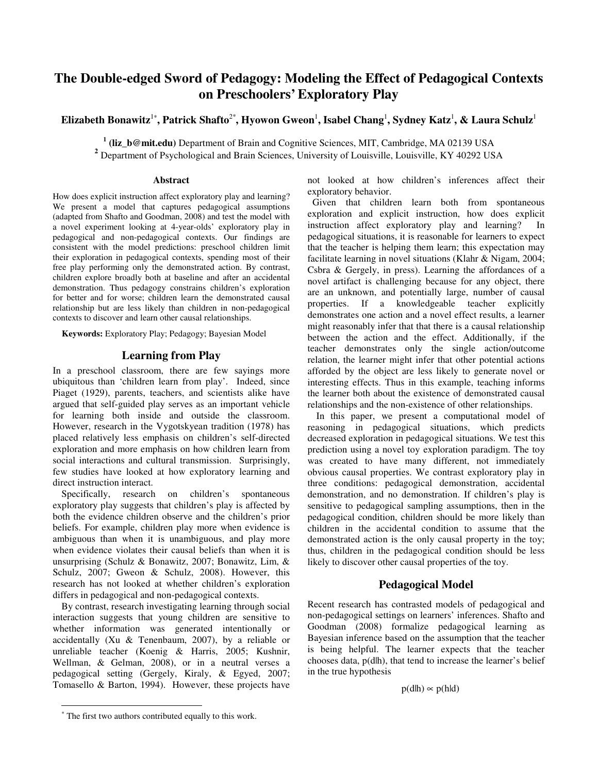# **The Double-edged Sword of Pedagogy: Modeling the Effect of Pedagogical Contexts on Preschoolers' Exploratory Play**

# **Elizabeth Bonawitz**<sup>1</sup><sup>∗</sup> **, Patrick Shafto**2\***, Hyowon Gweon**<sup>1</sup> **, Isabel Chang**<sup>1</sup> **, Sydney Katz**<sup>1</sup> **, & Laura Schulz**<sup>1</sup>

<sup>1</sup> (liz\_b@mit.edu) Department of Brain and Cognitive Sciences, MIT, Cambridge, MA 02139 USA **<sup>2</sup>** Department of Psychological and Brain Sciences, University of Louisville, Louisville, KY 40292 USA

#### **Abstract**

How does explicit instruction affect exploratory play and learning? We present a model that captures pedagogical assumptions (adapted from Shafto and Goodman, 2008) and test the model with a novel experiment looking at 4-year-olds' exploratory play in pedagogical and non-pedagogical contexts. Our findings are consistent with the model predictions: preschool children limit their exploration in pedagogical contexts, spending most of their free play performing only the demonstrated action. By contrast, children explore broadly both at baseline and after an accidental demonstration. Thus pedagogy constrains children's exploration for better and for worse; children learn the demonstrated causal relationship but are less likely than children in non-pedagogical contexts to discover and learn other causal relationships.

**Keywords:** Exploratory Play; Pedagogy; Bayesian Model

# **Learning from Play**

In a preschool classroom, there are few sayings more ubiquitous than 'children learn from play'. Indeed, since Piaget (1929), parents, teachers, and scientists alike have argued that self-guided play serves as an important vehicle for learning both inside and outside the classroom. However, research in the Vygotskyean tradition (1978) has placed relatively less emphasis on children's self-directed exploration and more emphasis on how children learn from social interactions and cultural transmission. Surprisingly, few studies have looked at how exploratory learning and direct instruction interact.

Specifically, research on children's spontaneous exploratory play suggests that children's play is affected by both the evidence children observe and the children's prior beliefs. For example, children play more when evidence is ambiguous than when it is unambiguous, and play more when evidence violates their causal beliefs than when it is unsurprising (Schulz & Bonawitz, 2007; Bonawitz, Lim, & Schulz, 2007; Gweon & Schulz, 2008). However, this research has not looked at whether children's exploration differs in pedagogical and non-pedagogical contexts.

By contrast, research investigating learning through social interaction suggests that young children are sensitive to whether information was generated intentionally or accidentally (Xu & Tenenbaum, 2007), by a reliable or unreliable teacher (Koenig & Harris, 2005; Kushnir, Wellman, & Gelman, 2008), or in a neutral verses a pedagogical setting (Gergely, Kiraly, & Egyed, 2007; Tomasello & Barton, 1994). However, these projects have not looked at how children's inferences affect their exploratory behavior.

 Given that children learn both from spontaneous exploration and explicit instruction, how does explicit instruction affect exploratory play and learning? In pedagogical situations, it is reasonable for learners to expect that the teacher is helping them learn; this expectation may facilitate learning in novel situations (Klahr & Nigam, 2004; Csbra & Gergely, in press). Learning the affordances of a novel artifact is challenging because for any object, there are an unknown, and potentially large, number of causal properties. If a knowledgeable teacher explicitly demonstrates one action and a novel effect results, a learner might reasonably infer that that there is a causal relationship between the action and the effect. Additionally, if the teacher demonstrates only the single action/outcome relation, the learner might infer that other potential actions afforded by the object are less likely to generate novel or interesting effects. Thus in this example, teaching informs the learner both about the existence of demonstrated causal relationships and the non-existence of other relationships.

In this paper, we present a computational model of reasoning in pedagogical situations, which predicts decreased exploration in pedagogical situations. We test this prediction using a novel toy exploration paradigm. The toy was created to have many different, not immediately obvious causal properties. We contrast exploratory play in three conditions: pedagogical demonstration, accidental demonstration, and no demonstration. If children's play is sensitive to pedagogical sampling assumptions, then in the pedagogical condition, children should be more likely than children in the accidental condition to assume that the demonstrated action is the only causal property in the toy; thus, children in the pedagogical condition should be less likely to discover other causal properties of the toy.

## **Pedagogical Model**

Recent research has contrasted models of pedagogical and non-pedagogical settings on learners' inferences. Shafto and Goodman (2008) formalize pedagogical learning as Bayesian inference based on the assumption that the teacher is being helpful. The learner expects that the teacher chooses data, p(d|h), that tend to increase the learner's belief in the true hypothesis

$$
p(dlh) \propto p(hld)
$$

-

<sup>∗</sup> The first two authors contributed equally to this work.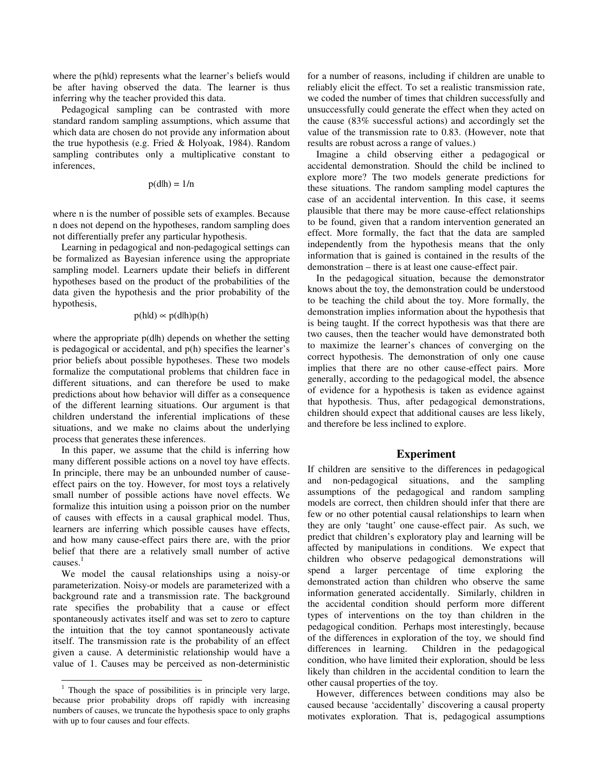where the p(hld) represents what the learner's beliefs would be after having observed the data. The learner is thus inferring why the teacher provided this data.

Pedagogical sampling can be contrasted with more standard random sampling assumptions, which assume that which data are chosen do not provide any information about the true hypothesis (e.g. Fried & Holyoak, 1984). Random sampling contributes only a multiplicative constant to inferences,

$$
p(dlh) = 1/n
$$

where n is the number of possible sets of examples. Because n does not depend on the hypotheses, random sampling does not differentially prefer any particular hypothesis.

Learning in pedagogical and non-pedagogical settings can be formalized as Bayesian inference using the appropriate sampling model. Learners update their beliefs in different hypotheses based on the product of the probabilities of the data given the hypothesis and the prior probability of the hypothesis,

$$
p(hld) \sim p(dlh)p(h)
$$

where the appropriate  $p(d|h)$  depends on whether the setting is pedagogical or accidental, and p(h) specifies the learner's prior beliefs about possible hypotheses. These two models formalize the computational problems that children face in different situations, and can therefore be used to make predictions about how behavior will differ as a consequence of the different learning situations. Our argument is that children understand the inferential implications of these situations, and we make no claims about the underlying process that generates these inferences.

In this paper, we assume that the child is inferring how many different possible actions on a novel toy have effects. In principle, there may be an unbounded number of causeeffect pairs on the toy. However, for most toys a relatively small number of possible actions have novel effects. We formalize this intuition using a poisson prior on the number of causes with effects in a causal graphical model. Thus, learners are inferring which possible causes have effects, and how many cause-effect pairs there are, with the prior belief that there are a relatively small number of active causes.<sup>1</sup>

We model the causal relationships using a noisy-or parameterization. Noisy-or models are parameterized with a background rate and a transmission rate. The background rate specifies the probability that a cause or effect spontaneously activates itself and was set to zero to capture the intuition that the toy cannot spontaneously activate itself. The transmission rate is the probability of an effect given a cause. A deterministic relationship would have a value of 1. Causes may be perceived as non-deterministic

-

for a number of reasons, including if children are unable to reliably elicit the effect. To set a realistic transmission rate, we coded the number of times that children successfully and unsuccessfully could generate the effect when they acted on the cause (83% successful actions) and accordingly set the value of the transmission rate to 0.83. (However, note that results are robust across a range of values.)

Imagine a child observing either a pedagogical or accidental demonstration. Should the child be inclined to explore more? The two models generate predictions for these situations. The random sampling model captures the case of an accidental intervention. In this case, it seems plausible that there may be more cause-effect relationships to be found, given that a random intervention generated an effect. More formally, the fact that the data are sampled independently from the hypothesis means that the only information that is gained is contained in the results of the demonstration – there is at least one cause-effect pair.

In the pedagogical situation, because the demonstrator knows about the toy, the demonstration could be understood to be teaching the child about the toy. More formally, the demonstration implies information about the hypothesis that is being taught. If the correct hypothesis was that there are two causes, then the teacher would have demonstrated both to maximize the learner's chances of converging on the correct hypothesis. The demonstration of only one cause implies that there are no other cause-effect pairs. More generally, according to the pedagogical model, the absence of evidence for a hypothesis is taken as evidence against that hypothesis. Thus, after pedagogical demonstrations, children should expect that additional causes are less likely, and therefore be less inclined to explore.

#### **Experiment**

If children are sensitive to the differences in pedagogical and non-pedagogical situations, and the sampling assumptions of the pedagogical and random sampling models are correct, then children should infer that there are few or no other potential causal relationships to learn when they are only 'taught' one cause-effect pair. As such, we predict that children's exploratory play and learning will be affected by manipulations in conditions. We expect that children who observe pedagogical demonstrations will spend a larger percentage of time exploring the demonstrated action than children who observe the same information generated accidentally. Similarly, children in the accidental condition should perform more different types of interventions on the toy than children in the pedagogical condition. Perhaps most interestingly, because of the differences in exploration of the toy, we should find differences in learning. Children in the pedagogical condition, who have limited their exploration, should be less likely than children in the accidental condition to learn the other causal properties of the toy.

However, differences between conditions may also be caused because 'accidentally' discovering a causal property motivates exploration. That is, pedagogical assumptions

<sup>1</sup> Though the space of possibilities is in principle very large, because prior probability drops off rapidly with increasing numbers of causes, we truncate the hypothesis space to only graphs with up to four causes and four effects.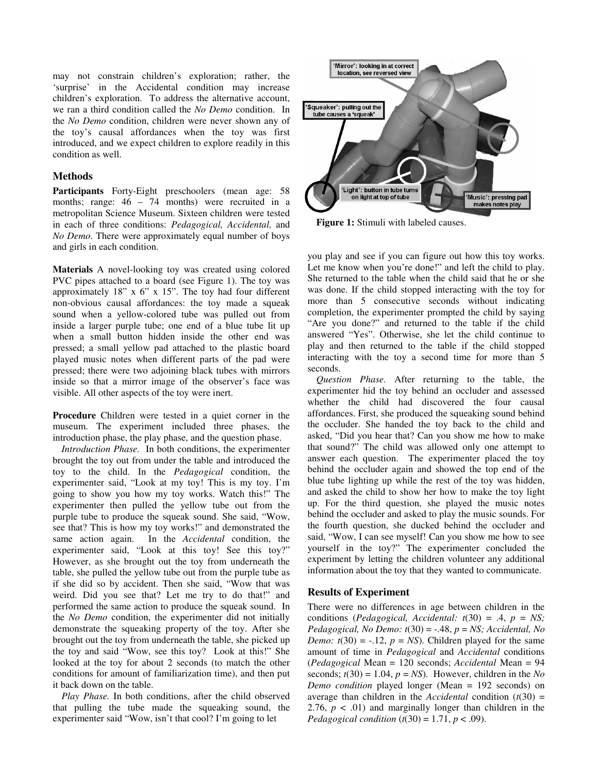may not constrain children's exploration; rather, the 'surprise' in the Accidental condition may increase children's exploration. To address the alternative account, we ran a third condition called the *No Demo* condition. In the *No Demo* condition, children were never shown any of the toy's causal affordances when the toy was first introduced, and we expect children to explore readily in this condition as well.

### **Methods**

**Participants** Forty-Eight preschoolers (mean age: 58 months; range: 46 – 74 months) were recruited in a metropolitan Science Museum. Sixteen children were tested in each of three conditions: *Pedagogical, Accidental,* and *No Demo*. There were approximately equal number of boys and girls in each condition.

**Materials** A novel-looking toy was created using colored PVC pipes attached to a board (see Figure 1). The toy was approximately 18" x 6" x 15". The toy had four different non-obvious causal affordances: the toy made a squeak sound when a yellow-colored tube was pulled out from inside a larger purple tube; one end of a blue tube lit up when a small button hidden inside the other end was pressed; a small yellow pad attached to the plastic board played music notes when different parts of the pad were pressed; there were two adjoining black tubes with mirrors inside so that a mirror image of the observer's face was visible. All other aspects of the toy were inert.

**Procedure** Children were tested in a quiet corner in the museum. The experiment included three phases, the introduction phase, the play phase, and the question phase.

*Introduction Phase.* In both conditions, the experimenter brought the toy out from under the table and introduced the toy to the child. In the *Pedagogical* condition, the experimenter said, "Look at my toy! This is my toy. I'm going to show you how my toy works. Watch this!" The experimenter then pulled the yellow tube out from the purple tube to produce the squeak sound. She said, "Wow, see that? This is how my toy works!" and demonstrated the same action again. In the *Accidental* condition, the experimenter said, "Look at this toy! See this toy?" However, as she brought out the toy from underneath the table, she pulled the yellow tube out from the purple tube as if she did so by accident. Then she said, "Wow that was weird. Did you see that? Let me try to do that!" and performed the same action to produce the squeak sound. In the *No Demo* condition, the experimenter did not initially demonstrate the squeaking property of the toy. After she brought out the toy from underneath the table, she picked up the toy and said "Wow, see this toy? Look at this!" She looked at the toy for about 2 seconds (to match the other conditions for amount of familiarization time), and then put it back down on the table.

*Play Phase.* In both conditions, after the child observed that pulling the tube made the squeaking sound, the experimenter said "Wow, isn't that cool? I'm going to let



**Figure 1:** Stimuli with labeled causes.

you play and see if you can figure out how this toy works. Let me know when you're done!" and left the child to play. She returned to the table when the child said that he or she was done. If the child stopped interacting with the toy for more than 5 consecutive seconds without indicating completion, the experimenter prompted the child by saying "Are you done?" and returned to the table if the child answered "Yes". Otherwise, she let the child continue to play and then returned to the table if the child stopped interacting with the toy a second time for more than 5 seconds.

*Question Phase.* After returning to the table, the experimenter hid the toy behind an occluder and assessed whether the child had discovered the four causal affordances. First, she produced the squeaking sound behind the occluder. She handed the toy back to the child and asked, "Did you hear that? Can you show me how to make that sound?" The child was allowed only one attempt to answer each question. The experimenter placed the toy behind the occluder again and showed the top end of the blue tube lighting up while the rest of the toy was hidden, and asked the child to show her how to make the toy light up. For the third question, she played the music notes behind the occluder and asked to play the music sounds. For the fourth question, she ducked behind the occluder and said, "Wow, I can see myself! Can you show me how to see yourself in the toy?" The experimenter concluded the experiment by letting the children volunteer any additional information about the toy that they wanted to communicate.

## **Results of Experiment**

There were no differences in age between children in the conditions (*Pedagogical, Accidental: t*(30) = .4, *p* = *NS; Pedagogical, No Demo: t*(30) = -.48, *p* = *NS; Accidental, No Demo:*  $t(30) = -.12$ ,  $p = NS$ ). Children played for the same amount of time in *Pedagogical* and *Accidental* conditions (*Pedagogical* Mean = 120 seconds; *Accidental* Mean = 94 seconds;  $t(30) = 1.04$ ,  $p = NS$ ). However, children in the *No Demo condition* played longer (Mean = 192 seconds) on average than children in the *Accidental* condition  $(t(30) =$ 2.76,  $p < .01$ ) and marginally longer than children in the *Pedagogical condition* ( $t(30) = 1.71$ ,  $p < .09$ ).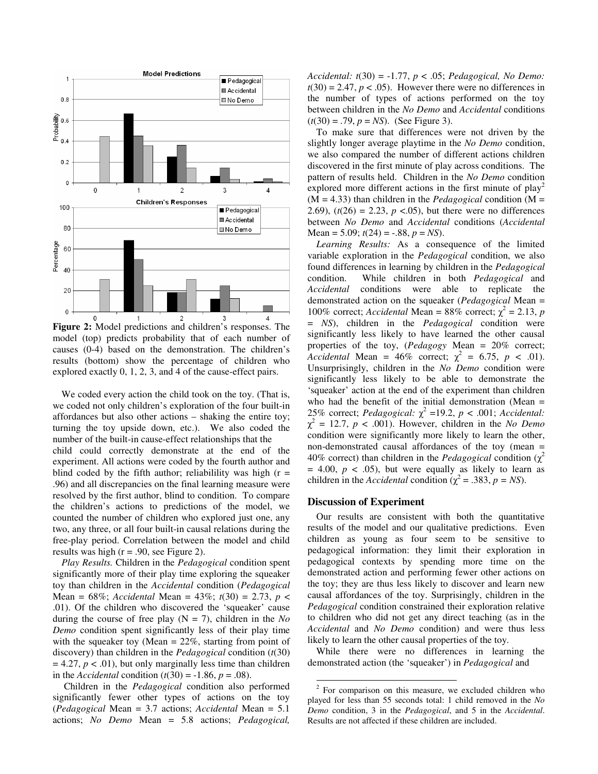

**Figure 2:** Model predictions and children's responses. The model (top) predicts probability that of each number of causes (0-4) based on the demonstration. The children's results (bottom) show the percentage of children who explored exactly 0, 1, 2, 3, and 4 of the cause-effect pairs.

We coded every action the child took on the toy. (That is, we coded not only children's exploration of the four built-in affordances but also other actions – shaking the entire toy; turning the toy upside down, etc.). We also coded the number of the built-in cause-effect relationships that the child could correctly demonstrate at the end of the experiment. All actions were coded by the fourth author and blind coded by the fifth author; reliabilility was high  $(r =$ .96) and all discrepancies on the final learning measure were resolved by the first author, blind to condition. To compare the children's actions to predictions of the model, we counted the number of children who explored just one, any two, any three, or all four built-in causal relations during the free-play period. Correlation between the model and child results was high  $(r = .90, \text{ see Figure 2}).$ 

*Play Results.* Children in the *Pedagogical* condition spent significantly more of their play time exploring the squeaker toy than children in the *Accidental* condition (*Pedagogical*  Mean = 68%; *Accidental* Mean = 43%; *t*(30) = 2.73, *p* < .01). Of the children who discovered the 'squeaker' cause during the course of free play  $(N = 7)$ , children in the *No Demo* condition spent significantly less of their play time with the squeaker toy (Mean  $= 22\%$ , starting from point of discovery) than children in the *Pedagogical* condition (*t*(30)  $= 4.27, p < .01$ , but only marginally less time than children in the *Accidental* condition  $(t(30) = -1.86, p = .08)$ .

 Children in the *Pedagogical* condition also performed significantly fewer other types of actions on the toy (*Pedagogical* Mean = 3.7 actions; *Accidental* Mean = 5.1 actions; *No Demo* Mean = 5.8 actions; *Pedagogical,* 

*Accidental: t*(30) = -1.77, *p* < .05; *Pedagogical, No Demo:*   $t(30) = 2.47$ ,  $p < .05$ ). However there were no differences in the number of types of actions performed on the toy between children in the *No Demo* and *Accidental* conditions  $(t(30) = .79, p = NS)$ . (See Figure 3).

To make sure that differences were not driven by the slightly longer average playtime in the *No Demo* condition, we also compared the number of different actions children discovered in the first minute of play across conditions. The pattern of results held. Children in the *No Demo* condition explored more different actions in the first minute of  $play<sup>2</sup>$  $(M = 4.33)$  than children in the *Pedagogical* condition  $(M =$ 2.69),  $(t(26) = 2.23, p < .05)$ , but there were no differences between *No Demo* and *Accidental* conditions (*Accidental*  Mean = 5.09;  $t(24) = -.88$ ,  $p = NS$ ).

*Learning Results:* As a consequence of the limited variable exploration in the *Pedagogical* condition, we also found differences in learning by children in the *Pedagogical* condition. While children in both *Pedagogical* and *Accidental* conditions were able to replicate the demonstrated action on the squeaker (*Pedagogical* Mean = 100% correct; *Accidental* Mean = 88% correct;  $\chi^2$  = 2.13, *p* = *NS*), children in the *Pedagogical* condition were significantly less likely to have learned the other causal properties of the toy, (*Pedagogy* Mean = 20% correct; *Accidental* Mean =  $46\%$  correct;  $\chi^2 = 6.75$ ,  $p < .01$ ). Unsurprisingly, children in the *No Demo* condition were significantly less likely to be able to demonstrate the 'squeaker' action at the end of the experiment than children who had the benefit of the initial demonstration (Mean = 25% correct; *Pedagogical:*  $\chi^2$  =19.2, *p* < .001; *Accidental:*  $\chi^2 = 12.7$ ,  $p < .001$ ). However, children in the *No Demo* condition were significantly more likely to learn the other, non-demonstrated causal affordances of the toy (mean = 40% correct) than children in the *Pedagogical* condition  $(\chi^2)$  $= 4.00, p < .05$ , but were equally as likely to learn as children in the *Accidental* condition ( $\chi^2 = .383$ ,  $p = NS$ ).

#### **Discussion of Experiment**

-

Our results are consistent with both the quantitative results of the model and our qualitative predictions. Even children as young as four seem to be sensitive to pedagogical information: they limit their exploration in pedagogical contexts by spending more time on the demonstrated action and performing fewer other actions on the toy; they are thus less likely to discover and learn new causal affordances of the toy. Surprisingly, children in the *Pedagogical* condition constrained their exploration relative to children who did not get any direct teaching (as in the *Accidental* and *No Demo* condition) and were thus less likely to learn the other causal properties of the toy.

While there were no differences in learning the demonstrated action (the 'squeaker') in *Pedagogical* and

<sup>2</sup> For comparison on this measure, we excluded children who played for less than 55 seconds total: 1 child removed in the *No Demo* condition, 3 in the *Pedagogical*, and 5 in the *Accidental*. Results are not affected if these children are included.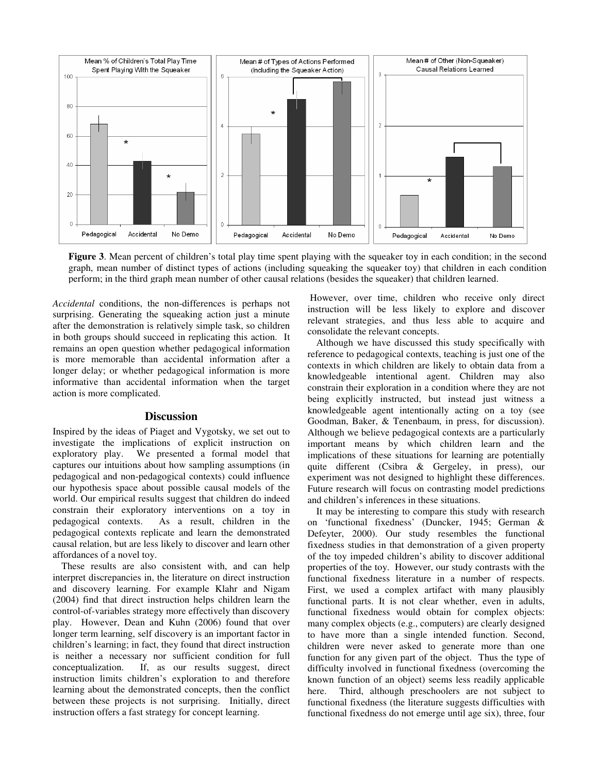

**Figure 3**. Mean percent of children's total play time spent playing with the squeaker toy in each condition; in the second graph, mean number of distinct types of actions (including squeaking the squeaker toy) that children in each condition perform; in the third graph mean number of other causal relations (besides the squeaker) that children learned.

*Accidental* conditions, the non-differences is perhaps not surprising. Generating the squeaking action just a minute after the demonstration is relatively simple task, so children in both groups should succeed in replicating this action. It remains an open question whether pedagogical information is more memorable than accidental information after a longer delay; or whether pedagogical information is more informative than accidental information when the target action is more complicated.

#### **Discussion**

Inspired by the ideas of Piaget and Vygotsky, we set out to investigate the implications of explicit instruction on exploratory play. We presented a formal model that captures our intuitions about how sampling assumptions (in pedagogical and non-pedagogical contexts) could influence our hypothesis space about possible causal models of the world. Our empirical results suggest that children do indeed constrain their exploratory interventions on a toy in pedagogical contexts. As a result, children in the pedagogical contexts replicate and learn the demonstrated causal relation, but are less likely to discover and learn other affordances of a novel toy.

These results are also consistent with, and can help interpret discrepancies in, the literature on direct instruction and discovery learning. For example Klahr and Nigam (2004) find that direct instruction helps children learn the control-of-variables strategy more effectively than discovery play. However, Dean and Kuhn (2006) found that over longer term learning, self discovery is an important factor in children's learning; in fact, they found that direct instruction is neither a necessary nor sufficient condition for full conceptualization. If, as our results suggest, direct instruction limits children's exploration to and therefore learning about the demonstrated concepts, then the conflict between these projects is not surprising. Initially, direct instruction offers a fast strategy for concept learning.

 However, over time, children who receive only direct instruction will be less likely to explore and discover relevant strategies, and thus less able to acquire and consolidate the relevant concepts.

Although we have discussed this study specifically with reference to pedagogical contexts, teaching is just one of the contexts in which children are likely to obtain data from a knowledgeable intentional agent. Children may also constrain their exploration in a condition where they are not being explicitly instructed, but instead just witness a knowledgeable agent intentionally acting on a toy (see Goodman, Baker, & Tenenbaum, in press, for discussion). Although we believe pedagogical contexts are a particularly important means by which children learn and the implications of these situations for learning are potentially quite different (Csibra & Gergeley, in press), our experiment was not designed to highlight these differences. Future research will focus on contrasting model predictions and children's inferences in these situations.

It may be interesting to compare this study with research on 'functional fixedness' (Duncker, 1945; German & Defeyter, 2000). Our study resembles the functional fixedness studies in that demonstration of a given property of the toy impeded children's ability to discover additional properties of the toy. However, our study contrasts with the functional fixedness literature in a number of respects. First, we used a complex artifact with many plausibly functional parts. It is not clear whether, even in adults, functional fixedness would obtain for complex objects: many complex objects (e.g., computers) are clearly designed to have more than a single intended function. Second, children were never asked to generate more than one function for any given part of the object. Thus the type of difficulty involved in functional fixedness (overcoming the known function of an object) seems less readily applicable here. Third, although preschoolers are not subject to functional fixedness (the literature suggests difficulties with functional fixedness do not emerge until age six), three, four